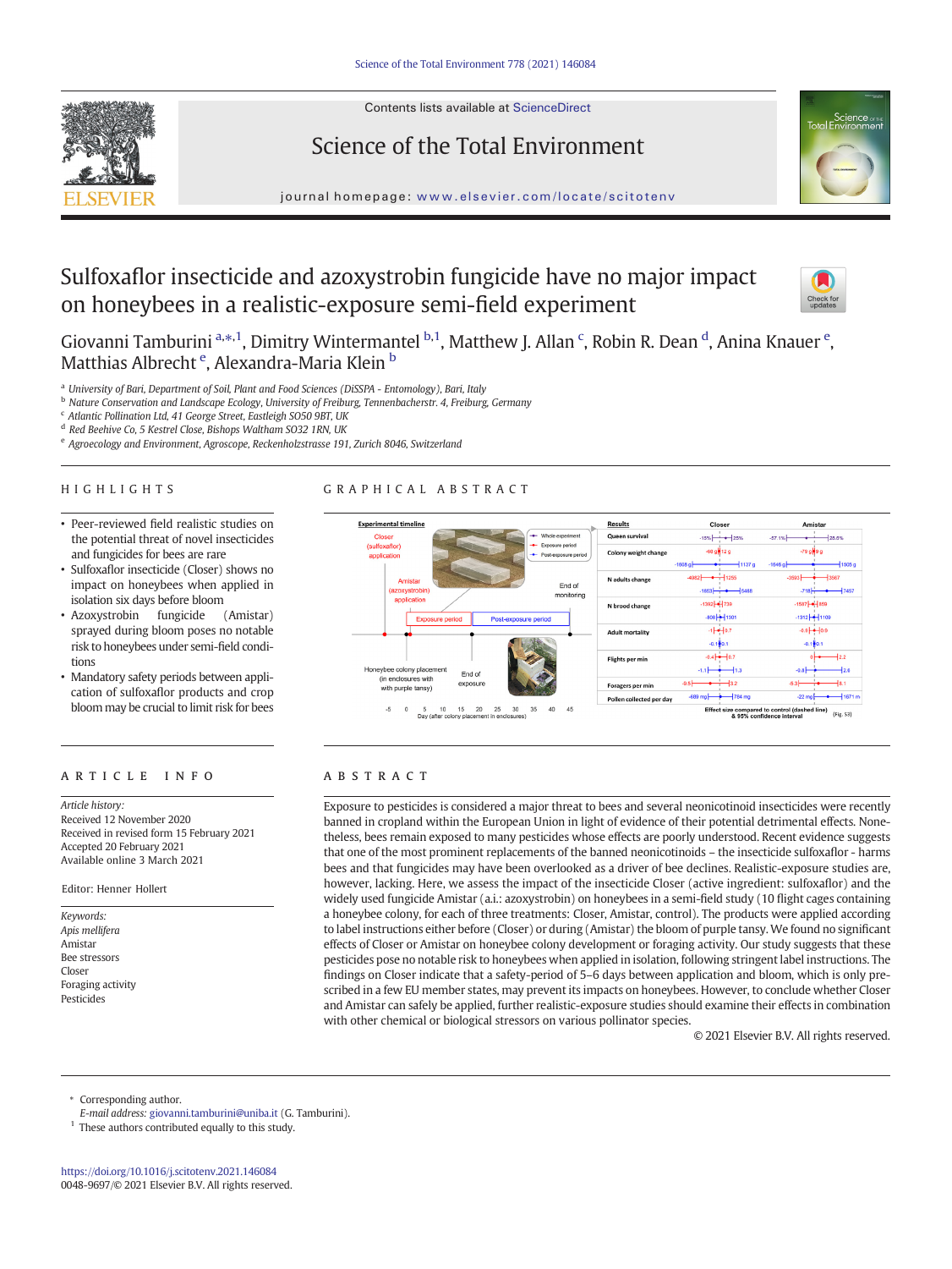Contents lists available at ScienceDirect







journal homepage: <www.elsevier.com/locate/scitotenv>

# Sulfoxaflor insecticide and azoxystrobin fungicide have no major impact on honeybees in a realistic-exposure semi-field experiment



Giovanni Tamburini a.\*,1, Dimitry Wintermantel b,1, Matthew J. Allan <sup>c</sup>, Robin R. Dean <sup>d</sup>, Anina Knauer <sup>e</sup>, Matthias Albrecht <sup>e</sup>, Alexandra-Maria Klein <sup>b</sup>

a University of Bari, Department of Soil, Plant and Food Sciences (DiSSPA - Entomology), Bari, Italy

<sup>b</sup> Nature Conservation and Landscape Ecology, University of Freiburg, Tennenbacherstr. 4, Freiburg, Germany

<sup>c</sup> Atlantic Pollination Ltd, 41 George Street, Eastleigh SO50 9BT, UK

<sup>d</sup> Red Beehive Co, 5 Kestrel Close, Bishops Waltham SO32 1RN, UK

<sup>e</sup> Agroecology and Environment, Agroscope, Reckenholzstrasse 191, Zurich 8046, Switzerland

#### HIGHLIGHTS

- Peer-reviewed field realistic studies on the potential threat of novel insecticides and fungicides for bees are rare
- Sulfoxaflor insecticide (Closer) shows no impact on honeybees when applied in isolation six days before bloom
- Azoxystrobin fungicide (Amistar) sprayed during bloom poses no notable risk to honeybees under semi-field conditions
- Mandatory safety periods between application of sulfoxaflor products and crop bloom may be crucial to limit risk for bees

# article info abstract

Article history: Received 12 November 2020 Received in revised form 15 February 2021 Accepted 20 February 2021 Available online 3 March 2021

Editor: Henner Hollert

Keywords: Apis mellifera Amistar Bee stressors Closer Foraging activity Pesticides





Exposure to pesticides is considered a major threat to bees and several neonicotinoid insecticides were recently banned in cropland within the European Union in light of evidence of their potential detrimental effects. Nonetheless, bees remain exposed to many pesticides whose effects are poorly understood. Recent evidence suggests that one of the most prominent replacements of the banned neonicotinoids – the insecticide sulfoxaflor - harms bees and that fungicides may have been overlooked as a driver of bee declines. Realistic-exposure studies are, however, lacking. Here, we assess the impact of the insecticide Closer (active ingredient: sulfoxaflor) and the widely used fungicide Amistar (a.i.: azoxystrobin) on honeybees in a semi-field study (10 flight cages containing a honeybee colony, for each of three treatments: Closer, Amistar, control). The products were applied according to label instructions either before (Closer) or during (Amistar) the bloom of purple tansy.We found no significant effects of Closer or Amistar on honeybee colony development or foraging activity. Our study suggests that these pesticides pose no notable risk to honeybees when applied in isolation, following stringent label instructions. The findings on Closer indicate that a safety-period of 5–6 days between application and bloom, which is only prescribed in a few EU member states, may prevent its impacts on honeybees. However, to conclude whether Closer and Amistar can safely be applied, further realistic-exposure studies should examine their effects in combination with other chemical or biological stressors on various pollinator species.

© 2021 Elsevier B.V. All rights reserved.

Corresponding author.

E-mail address: [giovanni.tamburini@uniba.it](mailto:giovanni.tamburini@uniba.it) (G. Tamburini).

 $1$  These authors contributed equally to this study.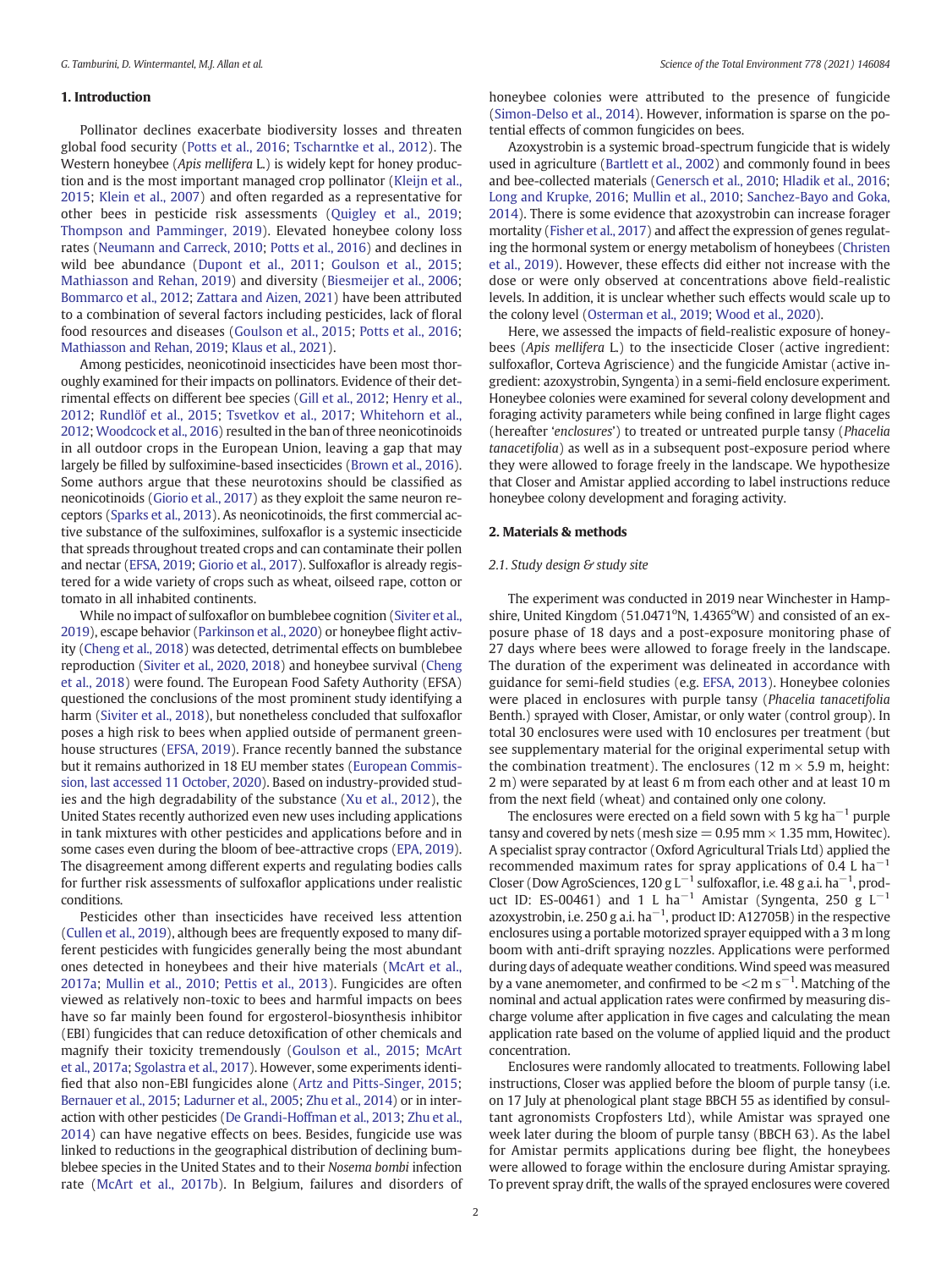# 1. Introduction

Pollinator declines exacerbate biodiversity losses and threaten global food security [\(Potts et al., 2016;](#page-7-0) [Tscharntke et al., 2012\)](#page-8-0). The Western honeybee (Apis mellifera L.) is widely kept for honey production and is the most important managed crop pollinator ([Kleijn et al.,](#page-7-0) [2015;](#page-7-0) [Klein et al., 2007](#page-7-0)) and often regarded as a representative for other bees in pesticide risk assessments [\(Quigley et al., 2019](#page-7-0); [Thompson and Pamminger, 2019](#page-8-0)). Elevated honeybee colony loss rates ([Neumann and Carreck, 2010](#page-7-0); [Potts et al., 2016](#page-7-0)) and declines in wild bee abundance [\(Dupont et al., 2011](#page-7-0); [Goulson et al., 2015](#page-7-0); [Mathiasson and Rehan, 2019\)](#page-7-0) and diversity ([Biesmeijer et al., 2006](#page-6-0); [Bommarco et al., 2012](#page-6-0); [Zattara and Aizen, 2021\)](#page-8-0) have been attributed to a combination of several factors including pesticides, lack of floral food resources and diseases ([Goulson et al., 2015;](#page-7-0) [Potts et al., 2016](#page-7-0); [Mathiasson and Rehan, 2019](#page-7-0); [Klaus et al., 2021](#page-7-0)).

Among pesticides, neonicotinoid insecticides have been most thoroughly examined for their impacts on pollinators. Evidence of their detrimental effects on different bee species [\(Gill et al., 2012;](#page-7-0) [Henry et al.,](#page-7-0) [2012;](#page-7-0) [Rundlöf et al., 2015](#page-7-0); [Tsvetkov et al., 2017;](#page-8-0) [Whitehorn et al.,](#page-8-0) [2012;](#page-8-0) [Woodcock et al., 2016\)](#page-8-0) resulted in the ban of three neonicotinoids in all outdoor crops in the European Union, leaving a gap that may largely be filled by sulfoximine-based insecticides ([Brown et al., 2016\)](#page-6-0). Some authors argue that these neurotoxins should be classified as neonicotinoids [\(Giorio et al., 2017\)](#page-7-0) as they exploit the same neuron receptors [\(Sparks et al., 2013\)](#page-8-0). As neonicotinoids, the first commercial active substance of the sulfoximines, sulfoxaflor is a systemic insecticide that spreads throughout treated crops and can contaminate their pollen and nectar [\(EFSA, 2019;](#page-7-0) [Giorio et al., 2017](#page-7-0)). Sulfoxaflor is already registered for a wide variety of crops such as wheat, oilseed rape, cotton or tomato in all inhabited continents.

While no impact of sulfoxaflor on bumblebee cognition ([Siviter et al.,](#page-7-0) [2019\)](#page-7-0), escape behavior [\(Parkinson et al., 2020](#page-7-0)) or honeybee flight activity ([Cheng et al., 2018\)](#page-6-0) was detected, detrimental effects on bumblebee reproduction [\(Siviter et al., 2020, 2018](#page-8-0)) and honeybee survival ([Cheng](#page-6-0) [et al., 2018](#page-6-0)) were found. The European Food Safety Authority (EFSA) questioned the conclusions of the most prominent study identifying a harm [\(Siviter et al., 2018\)](#page-7-0), but nonetheless concluded that sulfoxaflor poses a high risk to bees when applied outside of permanent greenhouse structures [\(EFSA, 2019](#page-7-0)). France recently banned the substance but it remains authorized in 18 EU member states [\(European Commis](#page-7-0)[sion, last accessed 11 October, 2020\)](#page-7-0). Based on industry-provided studies and the high degradability of the substance ([Xu et al., 2012\)](#page-8-0), the United States recently authorized even new uses including applications in tank mixtures with other pesticides and applications before and in some cases even during the bloom of bee-attractive crops [\(EPA, 2019\)](#page-7-0). The disagreement among different experts and regulating bodies calls for further risk assessments of sulfoxaflor applications under realistic conditions.

Pesticides other than insecticides have received less attention ([Cullen et al., 2019](#page-7-0)), although bees are frequently exposed to many different pesticides with fungicides generally being the most abundant ones detected in honeybees and their hive materials ([McArt et al.,](#page-7-0) [2017a;](#page-7-0) [Mullin et al., 2010;](#page-7-0) [Pettis et al., 2013](#page-7-0)). Fungicides are often viewed as relatively non-toxic to bees and harmful impacts on bees have so far mainly been found for ergosterol-biosynthesis inhibitor (EBI) fungicides that can reduce detoxification of other chemicals and magnify their toxicity tremendously [\(Goulson et al., 2015](#page-7-0); [McArt](#page-7-0) [et al., 2017a;](#page-7-0) [Sgolastra et al., 2017\)](#page-7-0). However, some experiments identified that also non-EBI fungicides alone ([Artz and Pitts-Singer, 2015](#page-6-0); [Bernauer et al., 2015](#page-6-0); [Ladurner et al., 2005](#page-7-0); [Zhu et al., 2014](#page-8-0)) or in interaction with other pesticides [\(De Grandi-Hoffman et al., 2013;](#page-7-0) [Zhu et al.,](#page-8-0) [2014\)](#page-8-0) can have negative effects on bees. Besides, fungicide use was linked to reductions in the geographical distribution of declining bumblebee species in the United States and to their Nosema bombi infection rate ([McArt et al., 2017b](#page-7-0)). In Belgium, failures and disorders of honeybee colonies were attributed to the presence of fungicide ([Simon-Delso et al., 2014](#page-7-0)). However, information is sparse on the potential effects of common fungicides on bees.

Azoxystrobin is a systemic broad-spectrum fungicide that is widely used in agriculture [\(Bartlett et al., 2002](#page-6-0)) and commonly found in bees and bee-collected materials [\(Genersch et al., 2010](#page-7-0); [Hladik et al., 2016](#page-7-0); [Long and Krupke, 2016](#page-7-0); [Mullin et al., 2010;](#page-7-0) [Sanchez-Bayo and Goka,](#page-7-0) [2014](#page-7-0)). There is some evidence that azoxystrobin can increase forager mortality [\(Fisher et al., 2017\)](#page-7-0) and affect the expression of genes regulating the hormonal system or energy metabolism of honeybees [\(Christen](#page-6-0) [et al., 2019\)](#page-6-0). However, these effects did either not increase with the dose or were only observed at concentrations above field-realistic levels. In addition, it is unclear whether such effects would scale up to the colony level ([Osterman et al., 2019](#page-7-0); [Wood et al., 2020](#page-8-0)).

Here, we assessed the impacts of field-realistic exposure of honeybees (Apis mellifera L.) to the insecticide Closer (active ingredient: sulfoxaflor, Corteva Agriscience) and the fungicide Amistar (active ingredient: azoxystrobin, Syngenta) in a semi-field enclosure experiment. Honeybee colonies were examined for several colony development and foraging activity parameters while being confined in large flight cages (hereafter 'enclosures') to treated or untreated purple tansy (Phacelia tanacetifolia) as well as in a subsequent post-exposure period where they were allowed to forage freely in the landscape. We hypothesize that Closer and Amistar applied according to label instructions reduce honeybee colony development and foraging activity.

#### 2. Materials & methods

#### 2.1. Study design & study site

The experiment was conducted in 2019 near Winchester in Hampshire, United Kingdom (51.0471°N, 1.4365°W) and consisted of an exposure phase of 18 days and a post-exposure monitoring phase of 27 days where bees were allowed to forage freely in the landscape. The duration of the experiment was delineated in accordance with guidance for semi-field studies (e.g. [EFSA, 2013](#page-7-0)). Honeybee colonies were placed in enclosures with purple tansy (Phacelia tanacetifolia Benth.) sprayed with Closer, Amistar, or only water (control group). In total 30 enclosures were used with 10 enclosures per treatment (but see supplementary material for the original experimental setup with the combination treatment). The enclosures (12 m  $\times$  5.9 m, height: 2 m) were separated by at least 6 m from each other and at least 10 m from the next field (wheat) and contained only one colony.

The enclosures were erected on a field sown with 5 kg ha<sup> $-1$ </sup> purple tansy and covered by nets (mesh size  $= 0.95$  mm  $\times$  1.35 mm, Howitec). A specialist spray contractor (Oxford Agricultural Trials Ltd) applied the recommended maximum rates for spray applications of 0.4 L ha<sup> $-1$ </sup> Closer (Dow AgroSciences, 120 g L<sup>-1</sup> sulfoxaflor, i.e. 48 g a.i. ha<sup>-1</sup>, product ID: ES-00461) and 1 L ha<sup>-1</sup> Amistar (Syngenta, 250 g L<sup>-1</sup> azoxystrobin, i.e. 250 g a.i. ha<sup> $-1$ </sup>, product ID: A12705B) in the respective enclosures using a portable motorized sprayer equipped with a 3 m long boom with anti-drift spraying nozzles. Applications were performed during days of adequate weather conditions. Wind speed was measured by a vane anemometer, and confirmed to be  $\lt 2$  m s<sup>-1</sup>. Matching of the nominal and actual application rates were confirmed by measuring discharge volume after application in five cages and calculating the mean application rate based on the volume of applied liquid and the product concentration.

Enclosures were randomly allocated to treatments. Following label instructions, Closer was applied before the bloom of purple tansy (i.e. on 17 July at phenological plant stage BBCH 55 as identified by consultant agronomists Cropfosters Ltd), while Amistar was sprayed one week later during the bloom of purple tansy (BBCH 63). As the label for Amistar permits applications during bee flight, the honeybees were allowed to forage within the enclosure during Amistar spraying. To prevent spray drift, the walls of the sprayed enclosures were covered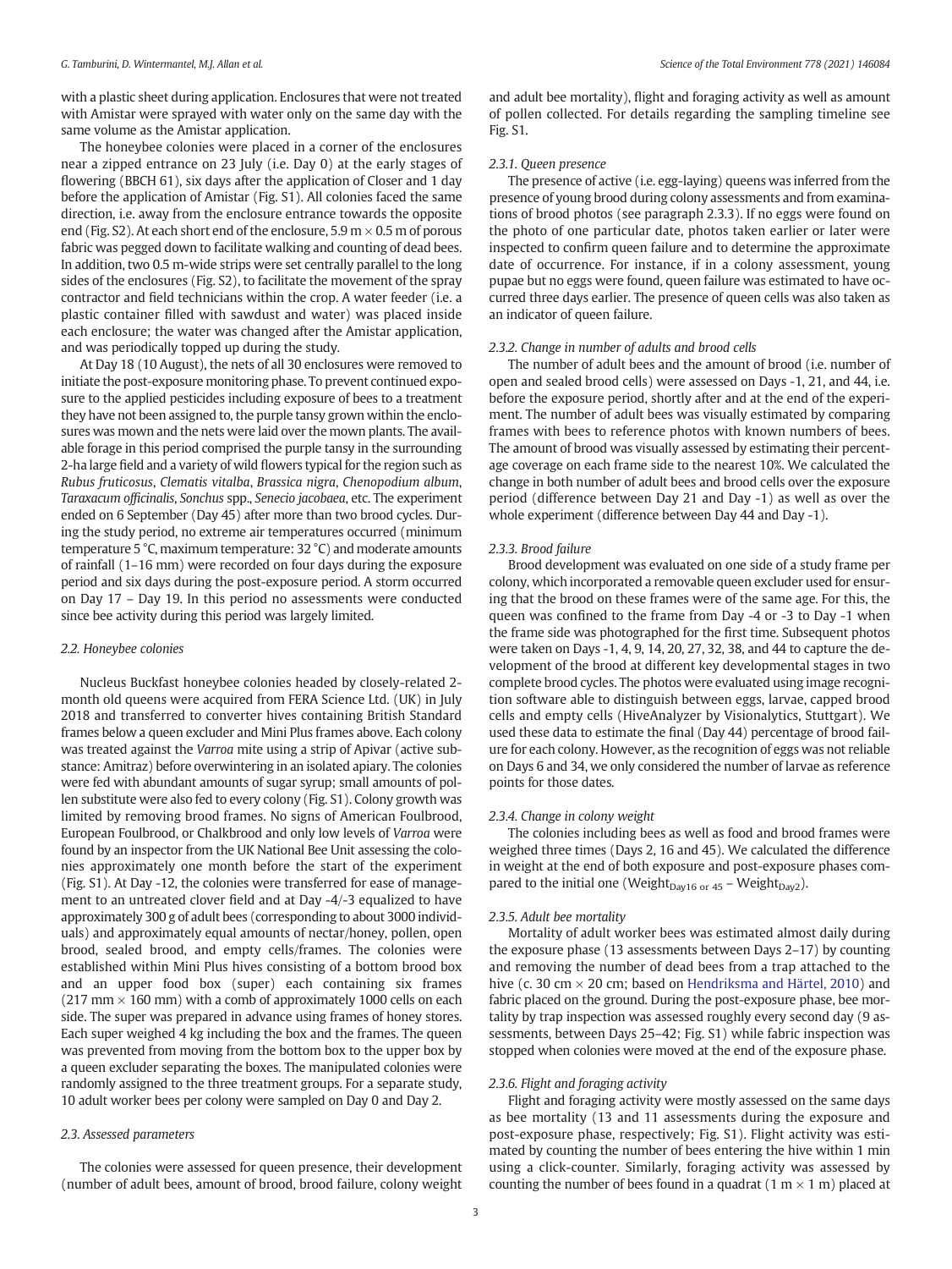with a plastic sheet during application. Enclosures that were not treated with Amistar were sprayed with water only on the same day with the same volume as the Amistar application.

The honeybee colonies were placed in a corner of the enclosures near a zipped entrance on 23 July (i.e. Day 0) at the early stages of flowering (BBCH 61), six days after the application of Closer and 1 day before the application of Amistar (Fig. S1). All colonies faced the same direction, i.e. away from the enclosure entrance towards the opposite end (Fig. S2). At each short end of the enclosure,  $5.9 \text{ m} \times 0.5 \text{ m}$  of porous fabric was pegged down to facilitate walking and counting of dead bees. In addition, two 0.5 m-wide strips were set centrally parallel to the long sides of the enclosures (Fig. S2), to facilitate the movement of the spray contractor and field technicians within the crop. A water feeder (i.e. a plastic container filled with sawdust and water) was placed inside each enclosure; the water was changed after the Amistar application, and was periodically topped up during the study.

At Day 18 (10 August), the nets of all 30 enclosures were removed to initiate the post-exposure monitoring phase. To prevent continued exposure to the applied pesticides including exposure of bees to a treatment they have not been assigned to, the purple tansy grown within the enclosures was mown and the nets were laid over the mown plants. The available forage in this period comprised the purple tansy in the surrounding 2-ha large field and a variety of wild flowers typical for the region such as Rubus fruticosus, Clematis vitalba, Brassica nigra, Chenopodium album, Taraxacum officinalis, Sonchus spp., Senecio jacobaea, etc. The experiment ended on 6 September (Day 45) after more than two brood cycles. During the study period, no extreme air temperatures occurred (minimum temperature 5 °C, maximum temperature: 32 °C) and moderate amounts of rainfall (1–16 mm) were recorded on four days during the exposure period and six days during the post-exposure period. A storm occurred on Day 17 – Day 19. In this period no assessments were conducted since bee activity during this period was largely limited.

#### 2.2. Honeybee colonies

Nucleus Buckfast honeybee colonies headed by closely-related 2 month old queens were acquired from FERA Science Ltd. (UK) in July 2018 and transferred to converter hives containing British Standard frames below a queen excluder and Mini Plus frames above. Each colony was treated against the Varroa mite using a strip of Apivar (active substance: Amitraz) before overwintering in an isolated apiary. The colonies were fed with abundant amounts of sugar syrup; small amounts of pollen substitute were also fed to every colony (Fig. S1). Colony growth was limited by removing brood frames. No signs of American Foulbrood, European Foulbrood, or Chalkbrood and only low levels of Varroa were found by an inspector from the UK National Bee Unit assessing the colonies approximately one month before the start of the experiment (Fig. S1). At Day -12, the colonies were transferred for ease of management to an untreated clover field and at Day -4/-3 equalized to have approximately 300 g of adult bees (corresponding to about 3000 individuals) and approximately equal amounts of nectar/honey, pollen, open brood, sealed brood, and empty cells/frames. The colonies were established within Mini Plus hives consisting of a bottom brood box and an upper food box (super) each containing six frames  $(217 \text{ mm} \times 160 \text{ mm})$  with a comb of approximately 1000 cells on each side. The super was prepared in advance using frames of honey stores. Each super weighed 4 kg including the box and the frames. The queen was prevented from moving from the bottom box to the upper box by a queen excluder separating the boxes. The manipulated colonies were randomly assigned to the three treatment groups. For a separate study, 10 adult worker bees per colony were sampled on Day 0 and Day 2.

# 2.3. Assessed parameters

The colonies were assessed for queen presence, their development (number of adult bees, amount of brood, brood failure, colony weight and adult bee mortality), flight and foraging activity as well as amount of pollen collected. For details regarding the sampling timeline see Fig. S1.

#### 2.3.1. Queen presence

The presence of active (i.e. egg-laying) queens was inferred from the presence of young brood during colony assessments and from examinations of brood photos (see paragraph 2.3.3). If no eggs were found on the photo of one particular date, photos taken earlier or later were inspected to confirm queen failure and to determine the approximate date of occurrence. For instance, if in a colony assessment, young pupae but no eggs were found, queen failure was estimated to have occurred three days earlier. The presence of queen cells was also taken as an indicator of queen failure.

#### 2.3.2. Change in number of adults and brood cells

The number of adult bees and the amount of brood (i.e. number of open and sealed brood cells) were assessed on Days -1, 21, and 44, i.e. before the exposure period, shortly after and at the end of the experiment. The number of adult bees was visually estimated by comparing frames with bees to reference photos with known numbers of bees. The amount of brood was visually assessed by estimating their percentage coverage on each frame side to the nearest 10%. We calculated the change in both number of adult bees and brood cells over the exposure period (difference between Day 21 and Day -1) as well as over the whole experiment (difference between Day 44 and Day -1).

#### 2.3.3. Brood failure

Brood development was evaluated on one side of a study frame per colony, which incorporated a removable queen excluder used for ensuring that the brood on these frames were of the same age. For this, the queen was confined to the frame from Day -4 or -3 to Day -1 when the frame side was photographed for the first time. Subsequent photos were taken on Days -1, 4, 9, 14, 20, 27, 32, 38, and 44 to capture the development of the brood at different key developmental stages in two complete brood cycles. The photos were evaluated using image recognition software able to distinguish between eggs, larvae, capped brood cells and empty cells (HiveAnalyzer by Visionalytics, Stuttgart). We used these data to estimate the final (Day 44) percentage of brood failure for each colony. However, as the recognition of eggs was not reliable on Days 6 and 34, we only considered the number of larvae as reference points for those dates.

# 2.3.4. Change in colony weight

The colonies including bees as well as food and brood frames were weighed three times (Days 2, 16 and 45). We calculated the difference in weight at the end of both exposure and post-exposure phases compared to the initial one (Weight<sub>Dav16 or 45</sub> – Weight<sub>Dav2</sub>).

# 2.3.5. Adult bee mortality

Mortality of adult worker bees was estimated almost daily during the exposure phase (13 assessments between Days 2–17) by counting and removing the number of dead bees from a trap attached to the hive (c. 30 cm  $\times$  20 cm; based on [Hendriksma and Härtel, 2010\)](#page-7-0) and fabric placed on the ground. During the post-exposure phase, bee mortality by trap inspection was assessed roughly every second day (9 assessments, between Days 25–42; Fig. S1) while fabric inspection was stopped when colonies were moved at the end of the exposure phase.

#### 2.3.6. Flight and foraging activity

Flight and foraging activity were mostly assessed on the same days as bee mortality (13 and 11 assessments during the exposure and post-exposure phase, respectively; Fig. S1). Flight activity was estimated by counting the number of bees entering the hive within 1 min using a click-counter. Similarly, foraging activity was assessed by counting the number of bees found in a quadrat (1 m  $\times$  1 m) placed at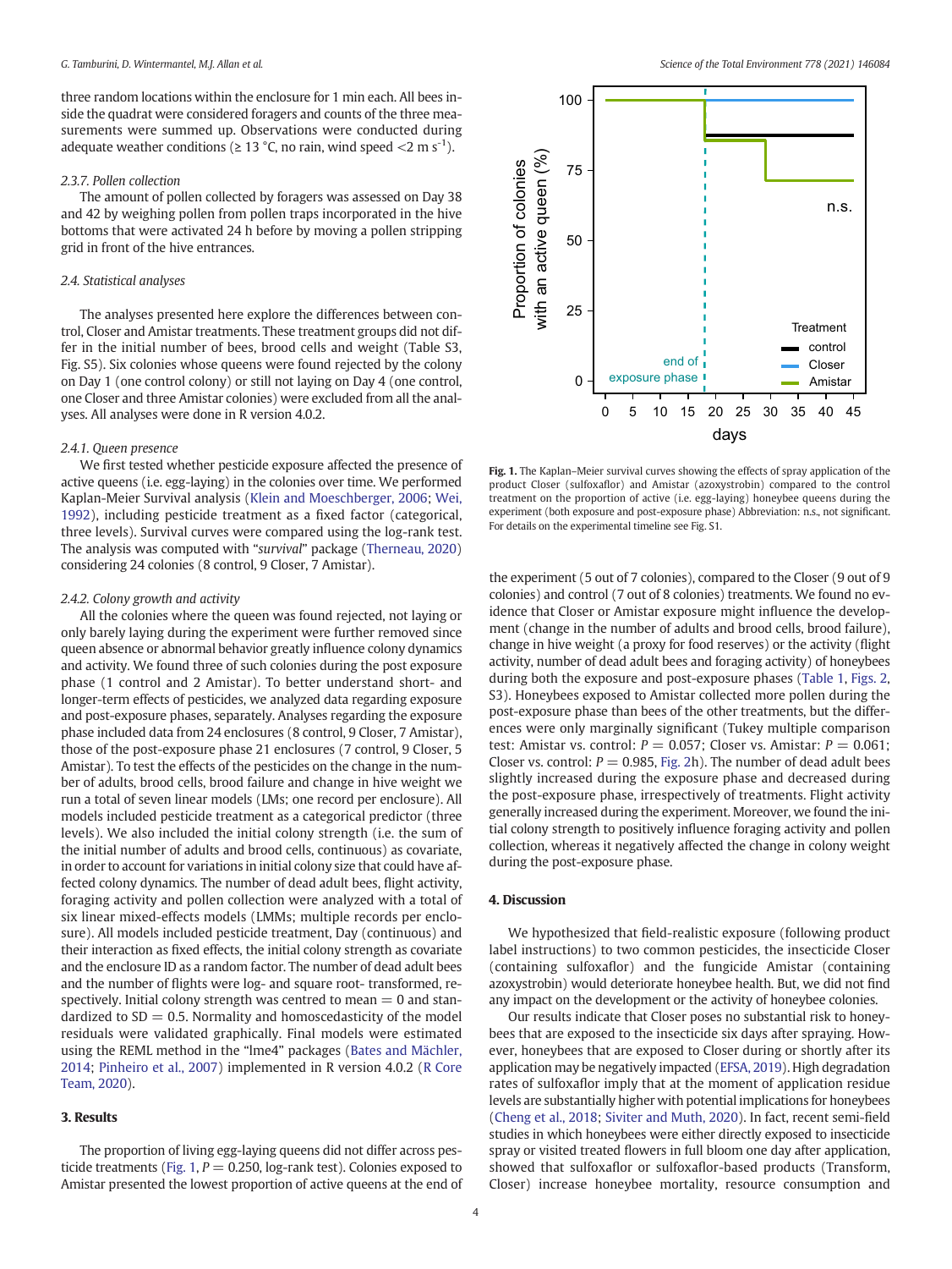<span id="page-3-0"></span>three random locations within the enclosure for 1 min each. All bees inside the quadrat were considered foragers and counts of the three measurements were summed up. Observations were conducted during adequate weather conditions ( $\geq 13$  °C, no rain, wind speed  $\lt 2$  m s<sup>-1</sup>).

#### 2.3.7. Pollen collection

The amount of pollen collected by foragers was assessed on Day 38 and 42 by weighing pollen from pollen traps incorporated in the hive bottoms that were activated 24 h before by moving a pollen stripping grid in front of the hive entrances.

#### 2.4. Statistical analyses

The analyses presented here explore the differences between control, Closer and Amistar treatments. These treatment groups did not differ in the initial number of bees, brood cells and weight (Table S3, Fig. S5). Six colonies whose queens were found rejected by the colony on Day 1 (one control colony) or still not laying on Day 4 (one control, one Closer and three Amistar colonies) were excluded from all the analyses. All analyses were done in R version 4.0.2.

# 2.4.1. Queen presence

We first tested whether pesticide exposure affected the presence of active queens (i.e. egg-laying) in the colonies over time. We performed Kaplan-Meier Survival analysis ([Klein and Moeschberger, 2006;](#page-7-0) [Wei,](#page-8-0) [1992\)](#page-8-0), including pesticide treatment as a fixed factor (categorical, three levels). Survival curves were compared using the log-rank test. The analysis was computed with "survival" package ([Therneau, 2020\)](#page-8-0) considering 24 colonies (8 control, 9 Closer, 7 Amistar).

#### 2.4.2. Colony growth and activity

All the colonies where the queen was found rejected, not laying or only barely laying during the experiment were further removed since queen absence or abnormal behavior greatly influence colony dynamics and activity. We found three of such colonies during the post exposure phase (1 control and 2 Amistar). To better understand short- and longer-term effects of pesticides, we analyzed data regarding exposure and post-exposure phases, separately. Analyses regarding the exposure phase included data from 24 enclosures (8 control, 9 Closer, 7 Amistar), those of the post-exposure phase 21 enclosures (7 control, 9 Closer, 5 Amistar). To test the effects of the pesticides on the change in the number of adults, brood cells, brood failure and change in hive weight we run a total of seven linear models (LMs; one record per enclosure). All models included pesticide treatment as a categorical predictor (three levels). We also included the initial colony strength (i.e. the sum of the initial number of adults and brood cells, continuous) as covariate, in order to account for variations in initial colony size that could have affected colony dynamics. The number of dead adult bees, flight activity, foraging activity and pollen collection were analyzed with a total of six linear mixed-effects models (LMMs; multiple records per enclosure). All models included pesticide treatment, Day (continuous) and their interaction as fixed effects, the initial colony strength as covariate and the enclosure ID as a random factor. The number of dead adult bees and the number of flights were log- and square root- transformed, respectively. Initial colony strength was centred to mean  $= 0$  and standardized to  $SD = 0.5$ . Normality and homoscedasticity of the model residuals were validated graphically. Final models were estimated using the REML method in the "lme4" packages [\(Bates and Mächler,](#page-6-0) [2014;](#page-6-0) [Pinheiro et al., 2007](#page-7-0)) implemented in R version 4.0.2 ([R Core](#page-7-0) [Team, 2020](#page-7-0)).

# 3. Results

The proportion of living egg-laying queens did not differ across pesticide treatments (Fig. 1,  $P = 0.250$ , log-rank test). Colonies exposed to Amistar presented the lowest proportion of active queens at the end of



Fig. 1. The Kaplan–Meier survival curves showing the effects of spray application of the product Closer (sulfoxaflor) and Amistar (azoxystrobin) compared to the control treatment on the proportion of active (i.e. egg-laying) honeybee queens during the experiment (both exposure and post-exposure phase) Abbreviation: n.s., not significant. For details on the experimental timeline see Fig. S1.

the experiment (5 out of 7 colonies), compared to the Closer (9 out of 9 colonies) and control (7 out of 8 colonies) treatments. We found no evidence that Closer or Amistar exposure might influence the development (change in the number of adults and brood cells, brood failure), change in hive weight (a proxy for food reserves) or the activity (flight activity, number of dead adult bees and foraging activity) of honeybees during both the exposure and post-exposure phases [\(Table](#page-4-0) 1, [Figs. 2](#page-5-0), S3). Honeybees exposed to Amistar collected more pollen during the post-exposure phase than bees of the other treatments, but the differences were only marginally significant (Tukey multiple comparison test: Amistar vs. control:  $P = 0.057$ ; Closer vs. Amistar:  $P = 0.061$ ; Closer vs. control:  $P = 0.985$ , [Fig. 2h](#page-5-0)). The number of dead adult bees slightly increased during the exposure phase and decreased during the post-exposure phase, irrespectively of treatments. Flight activity generally increased during the experiment. Moreover, we found the initial colony strength to positively influence foraging activity and pollen collection, whereas it negatively affected the change in colony weight during the post-exposure phase.

# 4. Discussion

We hypothesized that field-realistic exposure (following product label instructions) to two common pesticides, the insecticide Closer (containing sulfoxaflor) and the fungicide Amistar (containing azoxystrobin) would deteriorate honeybee health. But, we did not find any impact on the development or the activity of honeybee colonies.

Our results indicate that Closer poses no substantial risk to honeybees that are exposed to the insecticide six days after spraying. However, honeybees that are exposed to Closer during or shortly after its application may be negatively impacted ([EFSA, 2019](#page-7-0)). High degradation rates of sulfoxaflor imply that at the moment of application residue levels are substantially higher with potential implications for honeybees ([Cheng et al., 2018;](#page-6-0) [Siviter and Muth, 2020\)](#page-7-0). In fact, recent semi-field studies in which honeybees were either directly exposed to insecticide spray or visited treated flowers in full bloom one day after application, showed that sulfoxaflor or sulfoxaflor-based products (Transform, Closer) increase honeybee mortality, resource consumption and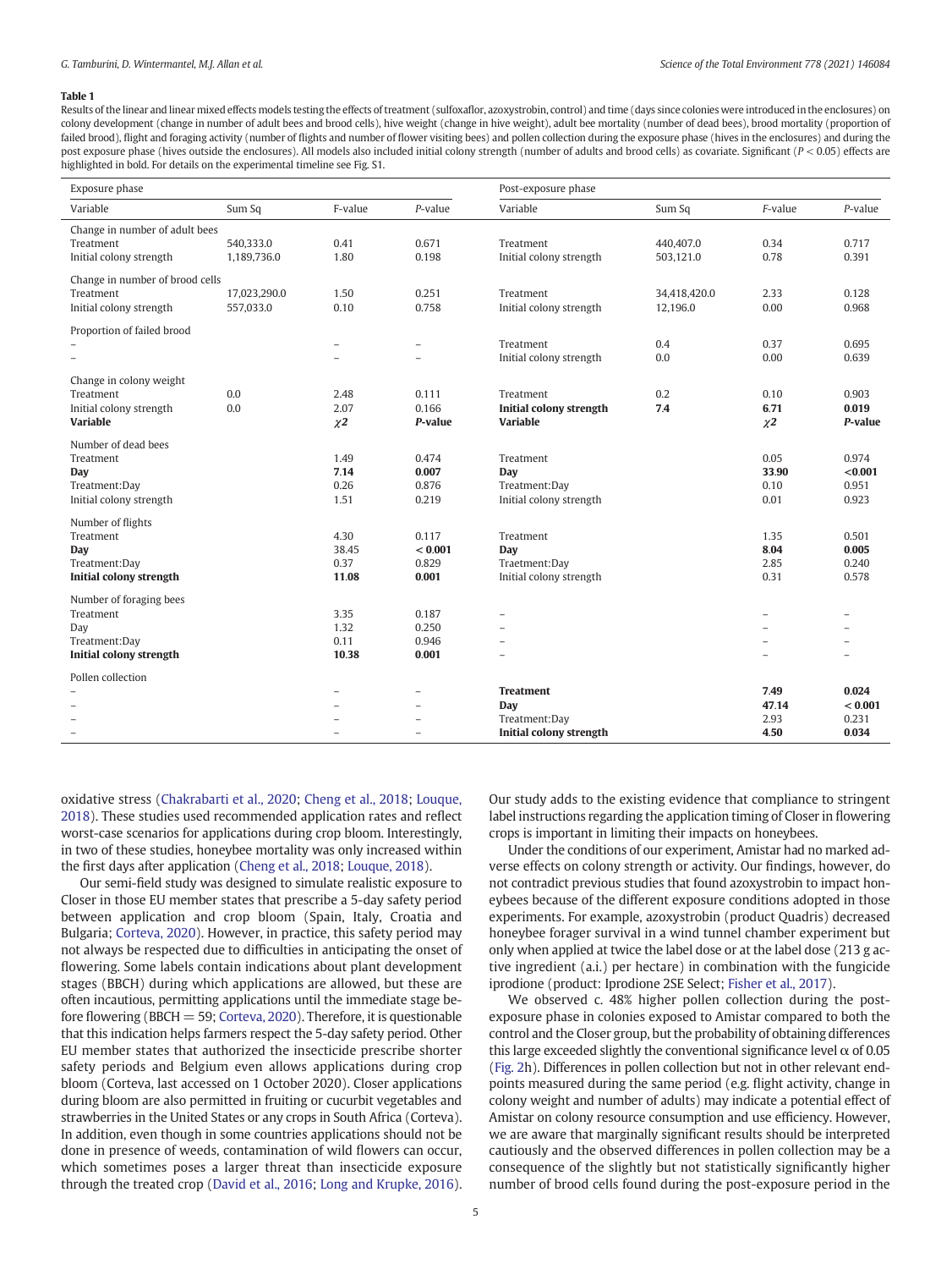#### <span id="page-4-0"></span>Table 1

Results of the linear and linear mixed effects models testing the effects of treatment (sulfoxaflor, azoxystrobin, control) and time (days since colonies were introduced in the enclosures) on colony development (change in number of adult bees and brood cells), hive weight (change in hive weight), adult bee mortality (number of dead bees), brood mortality (proportion of failed brood), flight and foraging activity (number of flights and number of flower visiting bees) and pollen collection during the exposure phase (hives in the enclosures) and during the post exposure phase (hives outside the enclosures). All models also included initial colony strength (number of adults and brood cells) as covariate. Significant (P < 0.05) effects are highlighted in bold. For details on the experimental timeline see Fig. S1.

| Exposure phase                  |              |                          |                          | Post-exposure phase            |              |                     |            |
|---------------------------------|--------------|--------------------------|--------------------------|--------------------------------|--------------|---------------------|------------|
| Variable                        | Sum Sq       | F-value                  | $P$ -value               | Variable                       | Sum Sq       | F-value             | $P$ -value |
| Change in number of adult bees  |              |                          |                          |                                |              |                     |            |
| Treatment                       | 540,333.0    | 0.41                     | 0.671                    | Treatment                      | 440,407.0    | 0.34                | 0.717      |
| Initial colony strength         | 1,189,736.0  | 1.80                     | 0.198                    | Initial colony strength        | 503,121.0    | 0.78                | 0.391      |
| Change in number of brood cells |              |                          |                          |                                |              |                     |            |
| Treatment                       | 17.023.290.0 | 1.50                     | 0.251                    | Treatment                      | 34,418,420.0 | 2.33                | 0.128      |
| Initial colony strength         | 557,033.0    | 0.10                     | 0.758                    | Initial colony strength        | 12,196.0     | 0.00                | 0.968      |
| Proportion of failed brood      |              |                          |                          |                                |              |                     |            |
|                                 |              | $\overline{\phantom{0}}$ | $\overline{a}$           | Treatment                      | 0.4          | 0.37                | 0.695      |
| ÷                               |              | $\overline{\phantom{a}}$ | $\overline{a}$           | Initial colony strength        | 0.0          | 0.00                | 0.639      |
| Change in colony weight         |              |                          |                          |                                |              |                     |            |
| Treatment                       | 0.0          | 2.48                     | 0.111                    | Treatment                      | 0.2          | 0.10                | 0.903      |
| Initial colony strength         | 0.0          | 2.07                     | 0.166                    | <b>Initial colony strength</b> | 7.4          | 6.71                | 0.019      |
| <b>Variable</b>                 |              | $\chi$ 2                 | P-value                  | <b>Variable</b>                |              | $\chi$ <sub>2</sub> | P-value    |
| Number of dead bees             |              |                          |                          |                                |              |                     |            |
| Treatment                       |              | 1.49                     | 0.474                    | Treatment                      |              | 0.05                | 0.974      |
| <b>Day</b>                      |              | 7.14                     | 0.007                    | Day                            |              | 33.90               | < 0.001    |
| Treatment:Day                   |              | 0.26                     | 0.876                    | Treatment:Day                  |              | 0.10                | 0.951      |
| Initial colony strength         |              | 1.51                     | 0.219                    | Initial colony strength        |              | 0.01                | 0.923      |
| Number of flights               |              |                          |                          |                                |              |                     |            |
| Treatment                       |              | 4.30                     | 0.117                    | Treatment                      |              | 1.35                | 0.501      |
| Day                             |              | 38.45                    | < 0.001                  | Day                            |              | 8.04                | 0.005      |
| Treatment:Day                   |              | 0.37                     | 0.829                    | Traetment:Day                  |              | 2.85                | 0.240      |
| Initial colony strength         |              | 11.08                    | 0.001                    | Initial colony strength        |              | 0.31                | 0.578      |
| Number of foraging bees         |              |                          |                          |                                |              |                     |            |
| Treatment                       |              | 3.35                     | 0.187                    |                                |              |                     |            |
| Day                             |              | 1.32                     | 0.250                    |                                |              |                     |            |
| Treatment:Day                   |              | 0.11                     | 0.946                    |                                |              |                     |            |
| Initial colony strength         |              | 10.38                    | 0.001                    | $\overline{\phantom{0}}$       |              |                     |            |
| Pollen collection               |              |                          |                          |                                |              |                     |            |
|                                 |              |                          | $\overline{\phantom{0}}$ | <b>Treatment</b>               |              | 7.49                | 0.024      |
| $\overline{\phantom{a}}$        |              | $\overline{\phantom{0}}$ | -                        | Day                            |              | 47.14               | < 0.001    |
|                                 |              |                          |                          | Treatment:Day                  |              | 2.93                | 0.231      |
| $\overline{\phantom{a}}$        |              |                          | $\overline{\phantom{a}}$ | Initial colony strength        |              | 4.50                | 0.034      |

oxidative stress ([Chakrabarti et al., 2020;](#page-6-0) [Cheng et al., 2018;](#page-6-0) [Louque,](#page-7-0) [2018](#page-7-0)). These studies used recommended application rates and reflect worst-case scenarios for applications during crop bloom. Interestingly, in two of these studies, honeybee mortality was only increased within the first days after application ([Cheng et al., 2018;](#page-6-0) [Louque, 2018](#page-7-0)).

Our semi-field study was designed to simulate realistic exposure to Closer in those EU member states that prescribe a 5-day safety period between application and crop bloom (Spain, Italy, Croatia and Bulgaria; [Corteva, 2020](#page-6-0)). However, in practice, this safety period may not always be respected due to difficulties in anticipating the onset of flowering. Some labels contain indications about plant development stages (BBCH) during which applications are allowed, but these are often incautious, permitting applications until the immediate stage before flowering (BBCH = 59; [Corteva, 2020](#page-6-0)). Therefore, it is questionable that this indication helps farmers respect the 5-day safety period. Other EU member states that authorized the insecticide prescribe shorter safety periods and Belgium even allows applications during crop bloom (Corteva, last accessed on 1 October 2020). Closer applications during bloom are also permitted in fruiting or cucurbit vegetables and strawberries in the United States or any crops in South Africa (Corteva). In addition, even though in some countries applications should not be done in presence of weeds, contamination of wild flowers can occur, which sometimes poses a larger threat than insecticide exposure through the treated crop [\(David et al., 2016;](#page-7-0) [Long and Krupke, 2016\)](#page-7-0).

Our study adds to the existing evidence that compliance to stringent label instructions regarding the application timing of Closer in flowering crops is important in limiting their impacts on honeybees.

Under the conditions of our experiment, Amistar had no marked adverse effects on colony strength or activity. Our findings, however, do not contradict previous studies that found azoxystrobin to impact honeybees because of the different exposure conditions adopted in those experiments. For example, azoxystrobin (product Quadris) decreased honeybee forager survival in a wind tunnel chamber experiment but only when applied at twice the label dose or at the label dose (213 g active ingredient (a.i.) per hectare) in combination with the fungicide iprodione (product: Iprodione 2SE Select; [Fisher et al., 2017\)](#page-7-0).

We observed c. 48% higher pollen collection during the postexposure phase in colonies exposed to Amistar compared to both the control and the Closer group, but the probability of obtaining differences this large exceeded slightly the conventional significance level  $\alpha$  of 0.05 ([Fig. 2](#page-5-0)h). Differences in pollen collection but not in other relevant endpoints measured during the same period (e.g. flight activity, change in colony weight and number of adults) may indicate a potential effect of Amistar on colony resource consumption and use efficiency. However, we are aware that marginally significant results should be interpreted cautiously and the observed differences in pollen collection may be a consequence of the slightly but not statistically significantly higher number of brood cells found during the post-exposure period in the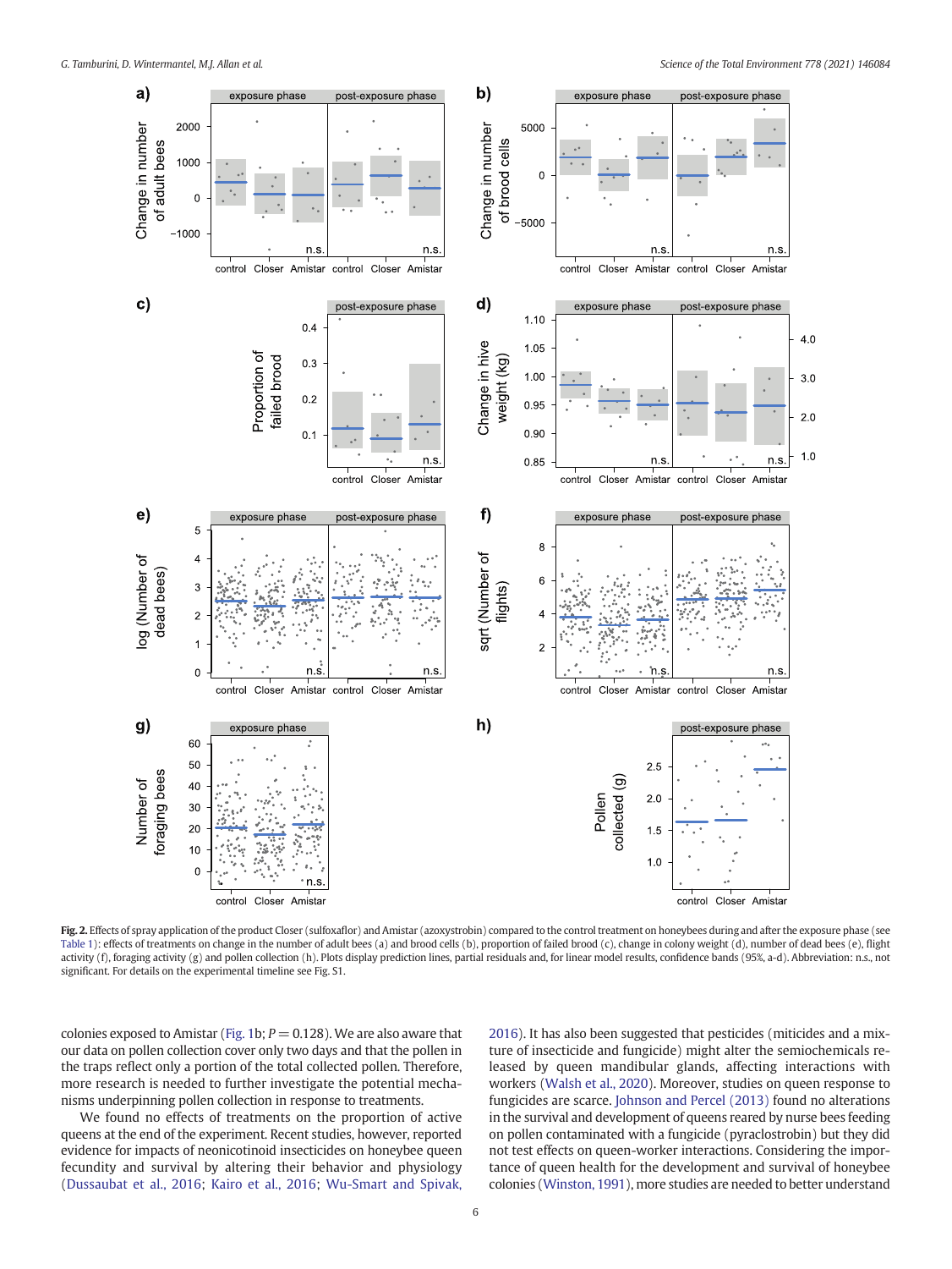<span id="page-5-0"></span>

Fig. 2. Effects of spray application of the product Closer (sulfoxaflor) and Amistar (azoxystrobin) compared to the control treatment on honeybees during and after the exposure phase (see [Table 1](#page-4-0)): effects of treatments on change in the number of adult bees (a) and brood cells (b), proportion of failed brood (c), change in colony weight (d), number of dead bees (e), flight activity (f), foraging activity (g) and pollen collection (h). Plots display prediction lines, partial residuals and, for linear model results, confidence bands (95%, a-d). Abbreviation: n.s., not significant. For details on the experimental timeline see Fig. S1.

colonies exposed to Amistar [\(Fig. 1](#page-3-0)b;  $P = 0.128$ ). We are also aware that our data on pollen collection cover only two days and that the pollen in the traps reflect only a portion of the total collected pollen. Therefore, more research is needed to further investigate the potential mechanisms underpinning pollen collection in response to treatments.

We found no effects of treatments on the proportion of active queens at the end of the experiment. Recent studies, however, reported evidence for impacts of neonicotinoid insecticides on honeybee queen fecundity and survival by altering their behavior and physiology ([Dussaubat et al., 2016](#page-7-0); [Kairo et al., 2016;](#page-7-0) [Wu-Smart and Spivak,](#page-8-0)

[2016\)](#page-8-0). It has also been suggested that pesticides (miticides and a mixture of insecticide and fungicide) might alter the semiochemicals released by queen mandibular glands, affecting interactions with workers [\(Walsh et al., 2020\)](#page-8-0). Moreover, studies on queen response to fungicides are scarce. [Johnson and Percel \(2013\)](#page-7-0) found no alterations in the survival and development of queens reared by nurse bees feeding on pollen contaminated with a fungicide (pyraclostrobin) but they did not test effects on queen-worker interactions. Considering the importance of queen health for the development and survival of honeybee colonies [\(Winston, 1991](#page-8-0)), more studies are needed to better understand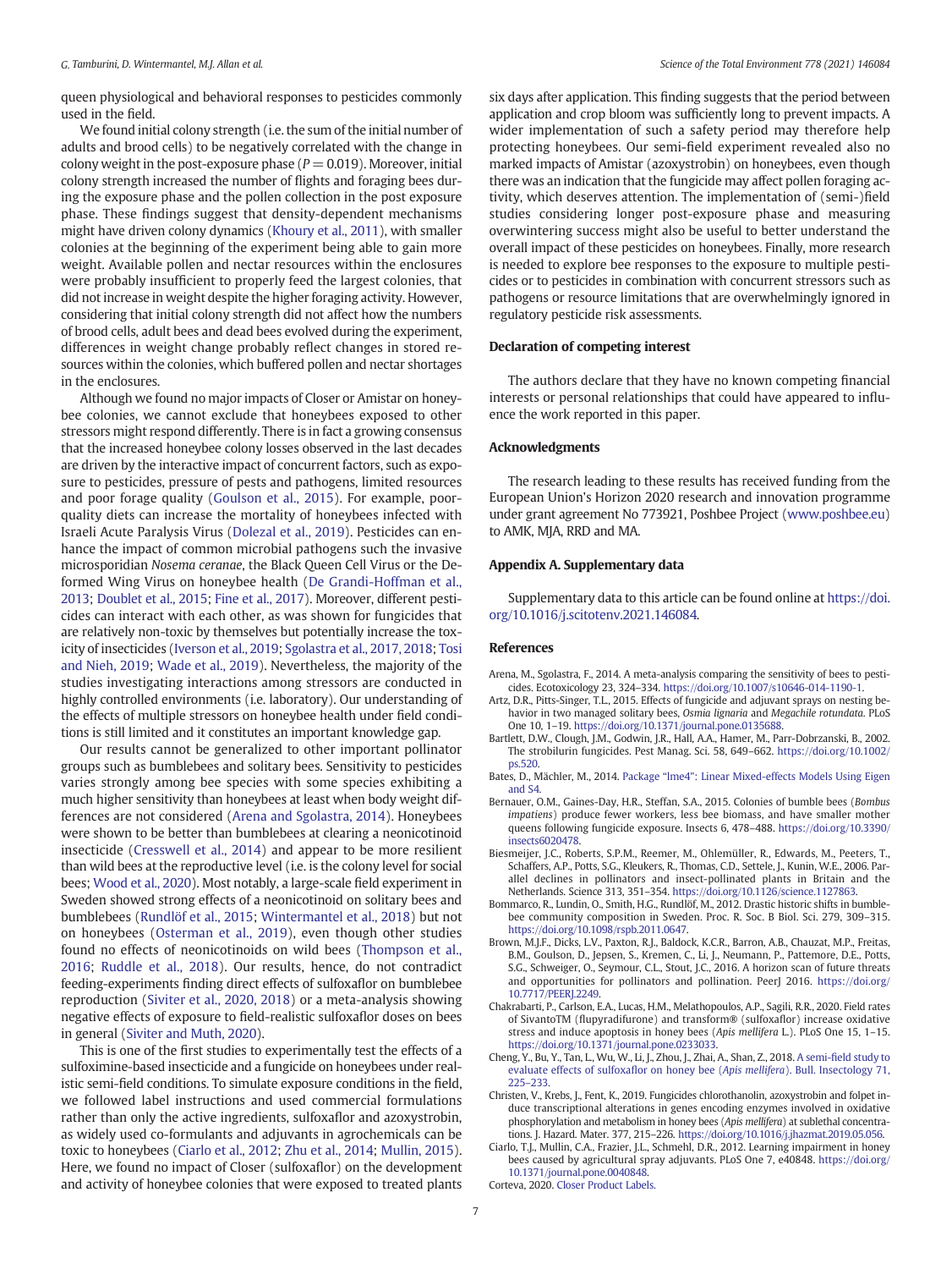<span id="page-6-0"></span>queen physiological and behavioral responses to pesticides commonly used in the field.

We found initial colony strength (i.e. the sum of the initial number of adults and brood cells) to be negatively correlated with the change in colony weight in the post-exposure phase ( $P = 0.019$ ). Moreover, initial colony strength increased the number of flights and foraging bees during the exposure phase and the pollen collection in the post exposure phase. These findings suggest that density-dependent mechanisms might have driven colony dynamics [\(Khoury et al., 2011](#page-7-0)), with smaller colonies at the beginning of the experiment being able to gain more weight. Available pollen and nectar resources within the enclosures were probably insufficient to properly feed the largest colonies, that did not increase in weight despite the higher foraging activity. However, considering that initial colony strength did not affect how the numbers of brood cells, adult bees and dead bees evolved during the experiment, differences in weight change probably reflect changes in stored resources within the colonies, which buffered pollen and nectar shortages in the enclosures.

Although we found no major impacts of Closer or Amistar on honeybee colonies, we cannot exclude that honeybees exposed to other stressors might respond differently. There is in fact a growing consensus that the increased honeybee colony losses observed in the last decades are driven by the interactive impact of concurrent factors, such as exposure to pesticides, pressure of pests and pathogens, limited resources and poor forage quality ([Goulson et al., 2015\)](#page-7-0). For example, poorquality diets can increase the mortality of honeybees infected with Israeli Acute Paralysis Virus ([Dolezal et al., 2019\)](#page-7-0). Pesticides can enhance the impact of common microbial pathogens such the invasive microsporidian Nosema ceranae, the Black Queen Cell Virus or the Deformed Wing Virus on honeybee health [\(De Grandi-Hoffman et al.,](#page-7-0) [2013;](#page-7-0) [Doublet et al., 2015;](#page-7-0) [Fine et al., 2017](#page-7-0)). Moreover, different pesticides can interact with each other, as was shown for fungicides that are relatively non-toxic by themselves but potentially increase the toxicity of insecticides [\(Iverson et al., 2019](#page-7-0); [Sgolastra et al., 2017, 2018;](#page-7-0) [Tosi](#page-8-0) [and Nieh, 2019](#page-8-0); [Wade et al., 2019\)](#page-8-0). Nevertheless, the majority of the studies investigating interactions among stressors are conducted in highly controlled environments (i.e. laboratory). Our understanding of the effects of multiple stressors on honeybee health under field conditions is still limited and it constitutes an important knowledge gap.

Our results cannot be generalized to other important pollinator groups such as bumblebees and solitary bees. Sensitivity to pesticides varies strongly among bee species with some species exhibiting a much higher sensitivity than honeybees at least when body weight differences are not considered (Arena and Sgolastra, 2014). Honeybees were shown to be better than bumblebees at clearing a neonicotinoid insecticide ([Cresswell et al., 2014\)](#page-7-0) and appear to be more resilient than wild bees at the reproductive level (i.e. is the colony level for social bees; [Wood et al., 2020\)](#page-8-0). Most notably, a large-scale field experiment in Sweden showed strong effects of a neonicotinoid on solitary bees and bumblebees ([Rundlöf et al., 2015;](#page-7-0) [Wintermantel et al., 2018\)](#page-8-0) but not on honeybees ([Osterman et al., 2019\)](#page-7-0), even though other studies found no effects of neonicotinoids on wild bees [\(Thompson et al.,](#page-8-0) [2016;](#page-8-0) [Ruddle et al., 2018\)](#page-7-0). Our results, hence, do not contradict feeding-experiments finding direct effects of sulfoxaflor on bumblebee reproduction [\(Siviter et al., 2020, 2018\)](#page-8-0) or a meta-analysis showing negative effects of exposure to field-realistic sulfoxaflor doses on bees in general [\(Siviter and Muth, 2020](#page-7-0)).

This is one of the first studies to experimentally test the effects of a sulfoximine-based insecticide and a fungicide on honeybees under realistic semi-field conditions. To simulate exposure conditions in the field, we followed label instructions and used commercial formulations rather than only the active ingredients, sulfoxaflor and azoxystrobin, as widely used co-formulants and adjuvants in agrochemicals can be toxic to honeybees (Ciarlo et al., 2012; [Zhu et al., 2014;](#page-8-0) [Mullin, 2015\)](#page-7-0). Here, we found no impact of Closer (sulfoxaflor) on the development and activity of honeybee colonies that were exposed to treated plants six days after application. This finding suggests that the period between application and crop bloom was sufficiently long to prevent impacts. A wider implementation of such a safety period may therefore help protecting honeybees. Our semi-field experiment revealed also no marked impacts of Amistar (azoxystrobin) on honeybees, even though there was an indication that the fungicide may affect pollen foraging activity, which deserves attention. The implementation of (semi-)field studies considering longer post-exposure phase and measuring overwintering success might also be useful to better understand the overall impact of these pesticides on honeybees. Finally, more research is needed to explore bee responses to the exposure to multiple pesticides or to pesticides in combination with concurrent stressors such as pathogens or resource limitations that are overwhelmingly ignored in regulatory pesticide risk assessments.

### Declaration of competing interest

The authors declare that they have no known competing financial interests or personal relationships that could have appeared to influence the work reported in this paper.

### Acknowledgments

The research leading to these results has received funding from the European Union's Horizon 2020 research and innovation programme under grant agreement No 773921, Poshbee Project ([www.poshbee.eu\)](http://www.poshbee.eu) to AMK, MJA, RRD and MA.

#### Appendix A. Supplementary data

Supplementary data to this article can be found online at [https://doi.](https://doi.org/10.1016/j.scitotenv.2021.146084) [org/10.1016/j.scitotenv.2021.146084.](https://doi.org/10.1016/j.scitotenv.2021.146084)

#### References

- Arena, M., Sgolastra, F., 2014. A meta-analysis comparing the sensitivity of bees to pesticides. Ecotoxicology 23, 324–334. <https://doi.org/10.1007/s10646-014-1190-1>.
- Artz, D.R., Pitts-Singer, T.L., 2015. Effects of fungicide and adjuvant sprays on nesting behavior in two managed solitary bees, Osmia lignaria and Megachile rotundata. PLoS One 10, 1–19. <https://doi.org/10.1371/journal.pone.0135688>.
- Bartlett, D.W., Clough, J.M., Godwin, J.R., Hall, A.A., Hamer, M., Parr-Dobrzanski, B., 2002. The strobilurin fungicides. Pest Manag. Sci. 58, 649–662. [https://doi.org/10.1002/](https://doi.org/10.1002/ps.520) [ps.520](https://doi.org/10.1002/ps.520).
- Bates, D., Mächler, M., 2014. Package "lme4"[: Linear Mixed-effects Models Using Eigen](http://refhub.elsevier.com/S0048-9697(21)01151-7/rf0020) [and S4](http://refhub.elsevier.com/S0048-9697(21)01151-7/rf0020).
- Bernauer, O.M., Gaines-Day, H.R., Steffan, S.A., 2015. Colonies of bumble bees (Bombus impatiens) produce fewer workers, less bee biomass, and have smaller mother queens following fungicide exposure. Insects 6, 478–488. [https://doi.org/10.3390/](https://doi.org/10.3390/insects6020478) [insects6020478](https://doi.org/10.3390/insects6020478).
- Biesmeijer, J.C., Roberts, S.P.M., Reemer, M., Ohlemüller, R., Edwards, M., Peeters, T., Schaffers, A.P., Potts, S.G., Kleukers, R., Thomas, C.D., Settele, J., Kunin, W.E., 2006. Parallel declines in pollinators and insect-pollinated plants in Britain and the Netherlands. Science 313, 351–354. <https://doi.org/10.1126/science.1127863>.
- Bommarco, R., Lundin, O., Smith, H.G., Rundlöf, M., 2012. Drastic historic shifts in bumblebee community composition in Sweden. Proc. R. Soc. B Biol. Sci. 279, 309–315. [https://doi.org/10.1098/rspb.2011.0647.](https://doi.org/10.1098/rspb.2011.0647)
- Brown, M.J.F., Dicks, L.V., Paxton, R.J., Baldock, K.C.R., Barron, A.B., Chauzat, M.P., Freitas, B.M., Goulson, D., Jepsen, S., Kremen, C., Li, J., Neumann, P., Pattemore, D.E., Potts, S.G., Schweiger, O., Seymour, C.L., Stout, J.C., 2016. A horizon scan of future threats and opportunities for pollinators and pollination. PeerJ 2016. [https://doi.org/](https://doi.org/10.7717/PEERJ.2249) [10.7717/PEERJ.2249.](https://doi.org/10.7717/PEERJ.2249)
- Chakrabarti, P., Carlson, E.A., Lucas, H.M., Melathopoulos, A.P., Sagili, R.R., 2020. Field rates of SivantoTM (flupyradifurone) and transform® (sulfoxaflor) increase oxidative stress and induce apoptosis in honey bees (Apis mellifera L.). PLoS One 15, 1–15. [https://doi.org/10.1371/journal.pone.0233033.](https://doi.org/10.1371/journal.pone.0233033)
- Cheng, Y., Bu, Y., Tan, L., Wu, W., Li, J., Zhou, J., Zhai, A., Shan, Z., 2018. A semi-fi[eld study to](http://refhub.elsevier.com/S0048-9697(21)01151-7/rf0050) [evaluate effects of sulfoxa](http://refhub.elsevier.com/S0048-9697(21)01151-7/rf0050)flor on honey bee (Apis mellifera). Bull. Insectology 71, [225](http://refhub.elsevier.com/S0048-9697(21)01151-7/rf0050)–233.
- Christen, V., Krebs, J., Fent, K., 2019. Fungicides chlorothanolin, azoxystrobin and folpet induce transcriptional alterations in genes encoding enzymes involved in oxidative phosphorylation and metabolism in honey bees (Apis mellifera) at sublethal concentrations. J. Hazard. Mater. 377, 215–226. <https://doi.org/10.1016/j.jhazmat.2019.05.056>.
- Ciarlo, T.J., Mullin, C.A., Frazier, J.L., Schmehl, D.R., 2012. Learning impairment in honey bees caused by agricultural spray adjuvants. PLoS One 7, e40848. [https://doi.org/](https://doi.org/10.1371/journal.pone.0040848) [10.1371/journal.pone.0040848.](https://doi.org/10.1371/journal.pone.0040848)

Corteva, 2020. [Closer Product Labels](http://refhub.elsevier.com/S0048-9697(21)01151-7/rf0065).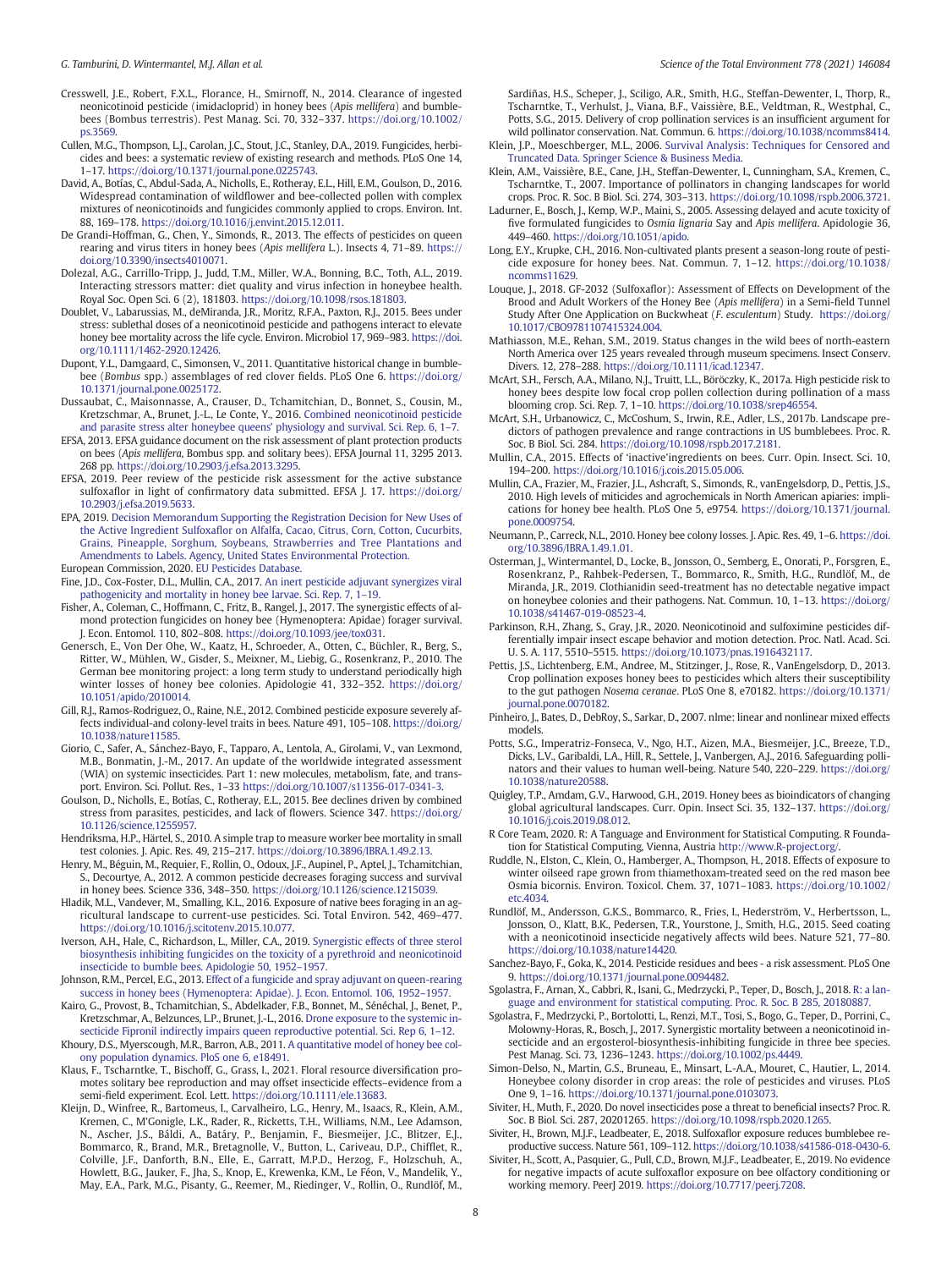- <span id="page-7-0"></span>Cresswell, J.E., Robert, F.X.L., Florance, H., Smirnoff, N., 2014. Clearance of ingested neonicotinoid pesticide (imidacloprid) in honey bees (Apis mellifera) and bumblebees (Bombus terrestris). Pest Manag. Sci. 70, 332–337. [https://doi.org/10.1002/](https://doi.org/10.1002/ps.3569) [ps.3569](https://doi.org/10.1002/ps.3569).
- Cullen, M.G., Thompson, L.J., Carolan, J.C., Stout, J.C., Stanley, D.A., 2019. Fungicides, herbicides and bees: a systematic review of existing research and methods. PLoS One 14, 1–17. <https://doi.org/10.1371/journal.pone.0225743>.
- David, A., Botías, C., Abdul-Sada, A., Nicholls, E., Rotheray, E.L., Hill, E.M., Goulson, D., 2016. Widespread contamination of wildflower and bee-collected pollen with complex mixtures of neonicotinoids and fungicides commonly applied to crops. Environ. Int. 88, 169–178. [https://doi.org/10.1016/j.envint.2015.12.011.](https://doi.org/10.1016/j.envint.2015.12.011)
- De Grandi-Hoffman, G., Chen, Y., Simonds, R., 2013. The effects of pesticides on queen rearing and virus titers in honey bees (Apis mellifera L.). Insects 4, 71–89. [https://](https://doi.org/10.3390/insects4010071) [doi.org/10.3390/insects4010071.](https://doi.org/10.3390/insects4010071)
- Dolezal, A.G., Carrillo-Tripp, J., Judd, T.M., Miller, W.A., Bonning, B.C., Toth, A.L., 2019. Interacting stressors matter: diet quality and virus infection in honeybee health. Royal Soc. Open Sci. 6 (2), 181803. [https://doi.org/10.1098/rsos.181803.](https://doi.org/10.1098/rsos.181803)
- Doublet, V., Labarussias, M., deMiranda, J.R., Moritz, R.F.A., Paxton, R.J., 2015. Bees under stress: sublethal doses of a neonicotinoid pesticide and pathogens interact to elevate honey bee mortality across the life cycle. Environ. Microbiol 17, 969-983. [https://doi.](https://doi.org/10.1111/1462-2920.12426) [org/10.1111/1462-2920.12426.](https://doi.org/10.1111/1462-2920.12426)
- Dupont, Y.L., Damgaard, C., Simonsen, V., 2011. Quantitative historical change in bumblebee (Bombus spp.) assemblages of red clover fields. PLoS One 6. [https://doi.org/](https://doi.org/10.1371/journal.pone.0025172) [10.1371/journal.pone.0025172.](https://doi.org/10.1371/journal.pone.0025172)
- Dussaubat, C., Maisonnasse, A., Crauser, D., Tchamitchian, D., Bonnet, S., Cousin, M., Kretzschmar, A., Brunet, J.-L., Le Conte, Y., 2016. [Combined neonicotinoid pesticide](http://refhub.elsevier.com/S0048-9697(21)01151-7/rf9015) [and parasite stress alter honeybee queens](http://refhub.elsevier.com/S0048-9697(21)01151-7/rf9015)' physiology and survival. Sci. Rep. 6, 1–7.
- EFSA, 2013. EFSA guidance document on the risk assessment of plant protection products on bees (Apis mellifera, Bombus spp. and solitary bees). EFSA Journal 11, 3295 2013. 268 pp. [https://doi.org/10.2903/j.efsa.2013.3295.](https://doi.org/10.2903/j.efsa.2013.3295)
- EFSA, 2019. Peer review of the pesticide risk assessment for the active substance sulfoxaflor in light of confirmatory data submitted. EFSA J. 17. [https://doi.org/](https://doi.org/10.2903/j.efsa.2019.5633) [10.2903/j.efsa.2019.5633](https://doi.org/10.2903/j.efsa.2019.5633).
- EPA, 2019. [Decision Memorandum Supporting the Registration Decision for New Uses of](http://refhub.elsevier.com/S0048-9697(21)01151-7/rf0105) the Active Ingredient Sulfoxafl[or on Alfalfa, Cacao, Citrus, Corn, Cotton, Cucurbits,](http://refhub.elsevier.com/S0048-9697(21)01151-7/rf0105) [Grains, Pineapple, Sorghum, Soybeans, Strawberries and Tree Plantations and](http://refhub.elsevier.com/S0048-9697(21)01151-7/rf0105) [Amendments to Labels. Agency, United States Environmental Protection](http://refhub.elsevier.com/S0048-9697(21)01151-7/rf0105). European Commission, 2020. [EU Pesticides Database.](http://refhub.elsevier.com/S0048-9697(21)01151-7/rf0110)
- Fine, J.D., Cox-Foster, D.L., Mullin, C.A., 2017. [An inert pesticide adjuvant synergizes viral](http://refhub.elsevier.com/S0048-9697(21)01151-7/rf9020) [pathogenicity and mortality in honey bee larvae. Sci. Rep. 7, 1](http://refhub.elsevier.com/S0048-9697(21)01151-7/rf9020)–19.
- Fisher, A., Coleman, C., Hoffmann, C., Fritz, B., Rangel, J., 2017. The synergistic effects of almond protection fungicides on honey bee (Hymenoptera: Apidae) forager survival. J. Econ. Entomol. 110, 802–808. [https://doi.org/10.1093/jee/tox031.](https://doi.org/10.1093/jee/tox031)
- Genersch, E., Von Der Ohe, W., Kaatz, H., Schroeder, A., Otten, C., Büchler, R., Berg, S., Ritter, W., Mühlen, W., Gisder, S., Meixner, M., Liebig, G., Rosenkranz, P., 2010. The German bee monitoring project: a long term study to understand periodically high winter losses of honey bee colonies. Apidologie 41, 332–352. [https://doi.org/](https://doi.org/10.1051/apido/2010014) [10.1051/apido/2010014.](https://doi.org/10.1051/apido/2010014)
- Gill, R.J., Ramos-Rodriguez, O., Raine, N.E., 2012. Combined pesticide exposure severely affects individual-and colony-level traits in bees. Nature 491, 105–108. [https://doi.org/](https://doi.org/10.1038/nature11585) [10.1038/nature11585](https://doi.org/10.1038/nature11585).
- Giorio, C., Safer, A., Sánchez-Bayo, F., Tapparo, A., Lentola, A., Girolami, V., van Lexmond, M.B., Bonmatin, J.-M., 2017. An update of the worldwide integrated assessment (WIA) on systemic insecticides. Part 1: new molecules, metabolism, fate, and transport. Environ. Sci. Pollut. Res., 1–33 <https://doi.org/10.1007/s11356-017-0341-3>.
- Goulson, D., Nicholls, E., Botías, C., Rotheray, E.L., 2015. Bee declines driven by combined stress from parasites, pesticides, and lack of flowers. Science 347. [https://doi.org/](https://doi.org/10.1126/science.1255957) [10.1126/science.1255957.](https://doi.org/10.1126/science.1255957)
- Hendriksma, H.P., Härtel, S., 2010. A simple trap to measure worker bee mortality in small test colonies. J. Apic. Res. 49, 215–217. <https://doi.org/10.3896/IBRA.1.49.2.13>.
- Henry, M., Béguin, M., Requier, F., Rollin, O., Odoux, J.F., Aupinel, P., Aptel, J., Tchamitchian, S., Decourtye, A., 2012. A common pesticide decreases foraging success and survival in honey bees. Science 336, 348–350. [https://doi.org/10.1126/science.1215039.](https://doi.org/10.1126/science.1215039)
- Hladik, M.L., Vandever, M., Smalling, K.L., 2016. Exposure of native bees foraging in an agricultural landscape to current-use pesticides. Sci. Total Environ. 542, 469–477. [https://doi.org/10.1016/j.scitotenv.2015.10.077.](https://doi.org/10.1016/j.scitotenv.2015.10.077)
- Iverson, A.H., Hale, C., Richardson, L., Miller, C.A., 2019. [Synergistic effects of three sterol](http://refhub.elsevier.com/S0048-9697(21)01151-7/rf9040) [biosynthesis inhibiting fungicides on the toxicity of a pyrethroid and neonicotinoid](http://refhub.elsevier.com/S0048-9697(21)01151-7/rf9040) [insecticide to bumble bees. Apidologie 50, 1952](http://refhub.elsevier.com/S0048-9697(21)01151-7/rf9040)–1957.
- Johnson, R.M., Percel, E.G., 2013. [Effect of a fungicide and spray adjuvant on queen-rearing](http://refhub.elsevier.com/S0048-9697(21)01151-7/rf9045) [success in honey bees \(Hymenoptera: Apidae\). J. Econ. Entomol. 106, 1952](http://refhub.elsevier.com/S0048-9697(21)01151-7/rf9045)–1957.
- Kairo, G., Provost, B., Tchamitchian, S., Abdelkader, F.B., Bonnet, M., Sénéchal, J., Benet, P., Kretzschmar, A., Belzunces, L.P., Brunet, J.-L., 2016. [Drone exposure to the systemic in](http://refhub.elsevier.com/S0048-9697(21)01151-7/rf9050)[secticide Fipronil indirectly impairs queen reproductive potential. Sci. Rep 6, 1](http://refhub.elsevier.com/S0048-9697(21)01151-7/rf9050)–12.
- Khoury, D.S., Myerscough, M.R., Barron, A.B., 2011. [A quantitative model of honey bee col](http://refhub.elsevier.com/S0048-9697(21)01151-7/rf9055)[ony population dynamics. PloS one 6, e18491.](http://refhub.elsevier.com/S0048-9697(21)01151-7/rf9055) Klaus, F., Tscharntke, T., Bischoff, G., Grass, I., 2021. Floral resource diversification pro-
- motes solitary bee reproduction and may offset insecticide effects–evidence from a semi-field experiment. Ecol. Lett. [https://doi.org/10.1111/ele.13683.](https://doi.org/10.1111/ele.13683)
- Kleijn, D., Winfree, R., Bartomeus, I., Carvalheiro, L.G., Henry, M., Isaacs, R., Klein, A.M., Kremen, C., M'Gonigle, L.K., Rader, R., Ricketts, T.H., Williams, N.M., Lee Adamson, N., Ascher, J.S., Báldi, A., Batáry, P., Benjamin, F., Biesmeijer, J.C., Blitzer, E.J., Bommarco, R., Brand, M.R., Bretagnolle, V., Button, L., Cariveau, D.P., Chifflet, R., Colville, J.F., Danforth, B.N., Elle, E., Garratt, M.P.D., Herzog, F., Holzschuh, A., Howlett, B.G., Jauker, F., Jha, S., Knop, E., Krewenka, K.M., Le Féon, V., Mandelik, Y., May, E.A., Park, M.G., Pisanty, G., Reemer, M., Riedinger, V., Rollin, O., Rundlöf, M.,

Sardiñas, H.S., Scheper, J., Sciligo, A.R., Smith, H.G., Steffan-Dewenter, I., Thorp, R., Tscharntke, T., Verhulst, J., Viana, B.F., Vaissière, B.E., Veldtman, R., Westphal, C., Potts, S.G., 2015. Delivery of crop pollination services is an insufficient argument for wild pollinator conservation. Nat. Commun. 6. [https://doi.org/10.1038/ncomms8414.](https://doi.org/10.1038/ncomms8414)

- Klein, J.P., Moeschberger, M.L., 2006. [Survival Analysis: Techniques for Censored and](http://refhub.elsevier.com/S0048-9697(21)01151-7/rf8484) [Truncated Data. Springer Science & Business Media](http://refhub.elsevier.com/S0048-9697(21)01151-7/rf8484).
- Klein, A.M., Vaissière, B.E., Cane, J.H., Steffan-Dewenter, I., Cunningham, S.A., Kremen, C., Tscharntke, T., 2007. Importance of pollinators in changing landscapes for world crops. Proc. R. Soc. B Biol. Sci. 274, 303–313. [https://doi.org/10.1098/rspb.2006.3721.](https://doi.org/10.1098/rspb.2006.3721)
- Ladurner, E., Bosch, J., Kemp, W.P., Maini, S., 2005. Assessing delayed and acute toxicity of five formulated fungicides to Osmia lignaria Say and Apis mellifera. Apidologie 36, 449–460. [https://doi.org/10.1051/apido.](https://doi.org/10.1051/apido)
- Long, E.Y., Krupke, C.H., 2016. Non-cultivated plants present a season-long route of pesticide exposure for honey bees. Nat. Commun. 7, 1–12. [https://doi.org/10.1038/](https://doi.org/10.1038/ncomms11629) [ncomms11629](https://doi.org/10.1038/ncomms11629).
- Louque, J., 2018. GF-2032 (Sulfoxaflor): Assessment of Effects on Development of the Brood and Adult Workers of the Honey Bee (Apis mellifera) in a Semi-field Tunnel Study After One Application on Buckwheat (F. esculentum) Study. [https://doi.org/](https://doi.org/10.1017/CBO9781107415324.004) [10.1017/CBO9781107415324.004.](https://doi.org/10.1017/CBO9781107415324.004)
- Mathiasson, M.E., Rehan, S.M., 2019. Status changes in the wild bees of north-eastern North America over 125 years revealed through museum specimens. Insect Conserv. Divers. 12, 278–288. <https://doi.org/10.1111/icad.12347>.
- McArt, S.H., Fersch, A.A., Milano, N.J., Truitt, L.L., Böröczky, K., 2017a. High pesticide risk to honey bees despite low focal crop pollen collection during pollination of a mass blooming crop. Sci. Rep. 7, 1–10. [https://doi.org/10.1038/srep46554.](https://doi.org/10.1038/srep46554)
- McArt, S.H., Urbanowicz, C., McCoshum, S., Irwin, R.E., Adler, L.S., 2017b. Landscape predictors of pathogen prevalence and range contractions in US bumblebees. Proc. R. Soc. B Biol. Sci. 284. <https://doi.org/10.1098/rspb.2017.2181>.
- Mullin, C.A., 2015. Effects of 'inactive'ingredients on bees. Curr. Opin. Insect. Sci. 10, 194–200. <https://doi.org/10.1016/j.cois.2015.05.006>.
- Mullin, C.A., Frazier, M., Frazier, J.L., Ashcraft, S., Simonds, R., vanEngelsdorp, D., Pettis, J.S., 2010. High levels of miticides and agrochemicals in North American apiaries: implications for honey bee health. PLoS One 5, e9754. [https://doi.org/10.1371/journal.](https://doi.org/10.1371/journal.pone.0009754) [pone.0009754](https://doi.org/10.1371/journal.pone.0009754).
- Neumann, P., Carreck, N.L., 2010. Honey bee colony losses. J. Apic. Res. 49, 1–6. [https://doi.](https://doi.org/10.3896/IBRA.1.49.1.01) [org/10.3896/IBRA.1.49.1.01.](https://doi.org/10.3896/IBRA.1.49.1.01)
- Osterman, J., Wintermantel, D., Locke, B., Jonsson, O., Semberg, E., Onorati, P., Forsgren, E., Rosenkranz, P., Rahbek-Pedersen, T., Bommarco, R., Smith, H.G., Rundlöf, M., de Miranda, J.R., 2019. Clothianidin seed-treatment has no detectable negative impact on honeybee colonies and their pathogens. Nat. Commun. 10, 1–13. [https://doi.org/](https://doi.org/10.1038/s41467-019-08523-4) [10.1038/s41467-019-08523-4.](https://doi.org/10.1038/s41467-019-08523-4)
- Parkinson, R.H., Zhang, S., Gray, J.R., 2020. Neonicotinoid and sulfoximine pesticides differentially impair insect escape behavior and motion detection. Proc. Natl. Acad. Sci. U. S. A. 117, 5510–5515. [https://doi.org/10.1073/pnas.1916432117.](https://doi.org/10.1073/pnas.1916432117)
- Pettis, J.S., Lichtenberg, E.M., Andree, M., Stitzinger, J., Rose, R., VanEngelsdorp, D., 2013. Crop pollination exposes honey bees to pesticides which alters their susceptibility to the gut pathogen Nosema ceranae. PLoS One 8, e70182. [https://doi.org/10.1371/](https://doi.org/10.1371/journal.pone.0070182) [journal.pone.0070182](https://doi.org/10.1371/journal.pone.0070182).
- Pinheiro, J., Bates, D., DebRoy, S., Sarkar, D., 2007. nlme: linear and nonlinear mixed effects models.
- Potts, S.G., Imperatriz-Fonseca, V., Ngo, H.T., Aizen, M.A., Biesmeijer, J.C., Breeze, T.D., Dicks, L.V., Garibaldi, L.A., Hill, R., Settele, J., Vanbergen, A.J., 2016. Safeguarding pollinators and their values to human well-being. Nature 540, 220–229. [https://doi.org/](https://doi.org/10.1038/nature20588) [10.1038/nature20588](https://doi.org/10.1038/nature20588).
- Quigley, T.P., Amdam, G.V., Harwood, G.H., 2019. Honey bees as bioindicators of changing global agricultural landscapes. Curr. Opin. Insect Sci. 35, 132–137. [https://doi.org/](https://doi.org/10.1016/j.cois.2019.08.012) [10.1016/j.cois.2019.08.012](https://doi.org/10.1016/j.cois.2019.08.012).
- R Core Team, 2020. R: A Tanguage and Environment for Statistical Computing. R Foundation for Statistical Computing, Vienna, Austria [http://www.R-project.org/.](http://www.R-project.org/)
- Ruddle, N., Elston, C., Klein, O., Hamberger, A., Thompson, H., 2018. Effects of exposure to winter oilseed rape grown from thiamethoxam-treated seed on the red mason bee Osmia bicornis. Environ. Toxicol. Chem. 37, 1071–1083. [https://doi.org/10.1002/](https://doi.org/10.1002/etc.4034) etc.4034
- Rundlöf, M., Andersson, G.K.S., Bommarco, R., Fries, I., Hederström, V., Herbertsson, L., Jonsson, O., Klatt, B.K., Pedersen, T.R., Yourstone, J., Smith, H.G., 2015. Seed coating with a neonicotinoid insecticide negatively affects wild bees. Nature 521, 77–80. <https://doi.org/10.1038/nature14420>.
- Sanchez-Bayo, F., Goka, K., 2014. Pesticide residues and bees a risk assessment. PLoS One 9. [https://doi.org/10.1371/journal.pone.0094482.](https://doi.org/10.1371/journal.pone.0094482)
- Sgolastra, F., Arnan, X., Cabbri, R., Isani, G., Medrzycki, P., Teper, D., Bosch, J., 2018. [R: a lan](http://refhub.elsevier.com/S0048-9697(21)01151-7/rf9070)[guage and environment for statistical computing. Proc. R. Soc. B 285, 20180887.](http://refhub.elsevier.com/S0048-9697(21)01151-7/rf9070)
- Sgolastra, F., Medrzycki, P., Bortolotti, L., Renzi, M.T., Tosi, S., Bogo, G., Teper, D., Porrini, C., Molowny-Horas, R., Bosch, J., 2017. Synergistic mortality between a neonicotinoid insecticide and an ergosterol-biosynthesis-inhibiting fungicide in three bee species. Pest Manag. Sci. 73, 1236–1243. [https://doi.org/10.1002/ps.4449.](https://doi.org/10.1002/ps.4449)
- Simon-Delso, N., Martin, G.S., Bruneau, E., Minsart, L.-A.A., Mouret, C., Hautier, L., 2014. Honeybee colony disorder in crop areas: the role of pesticides and viruses. PLoS One 9, 1–16. [https://doi.org/10.1371/journal.pone.0103073.](https://doi.org/10.1371/journal.pone.0103073)
- Siviter, H., Muth, F., 2020. Do novel insecticides pose a threat to beneficial insects? Proc. R. Soc. B Biol. Sci. 287, 20201265. [https://doi.org/10.1098/rspb.2020.1265.](https://doi.org/10.1098/rspb.2020.1265)
- Siviter, H., Brown, M.J.F., Leadbeater, E., 2018. Sulfoxaflor exposure reduces bumblebee reproductive success. Nature 561, 109–112. [https://doi.org/10.1038/s41586-018-0430-6.](https://doi.org/10.1038/s41586-018-0430-6)
- Siviter, H., Scott, A., Pasquier, G., Pull, C.D., Brown, M.J.F., Leadbeater, E., 2019. No evidence for negative impacts of acute sulfoxaflor exposure on bee olfactory conditioning or working memory. PeerJ 2019. [https://doi.org/10.7717/peerj.7208.](https://doi.org/10.7717/peerj.7208)